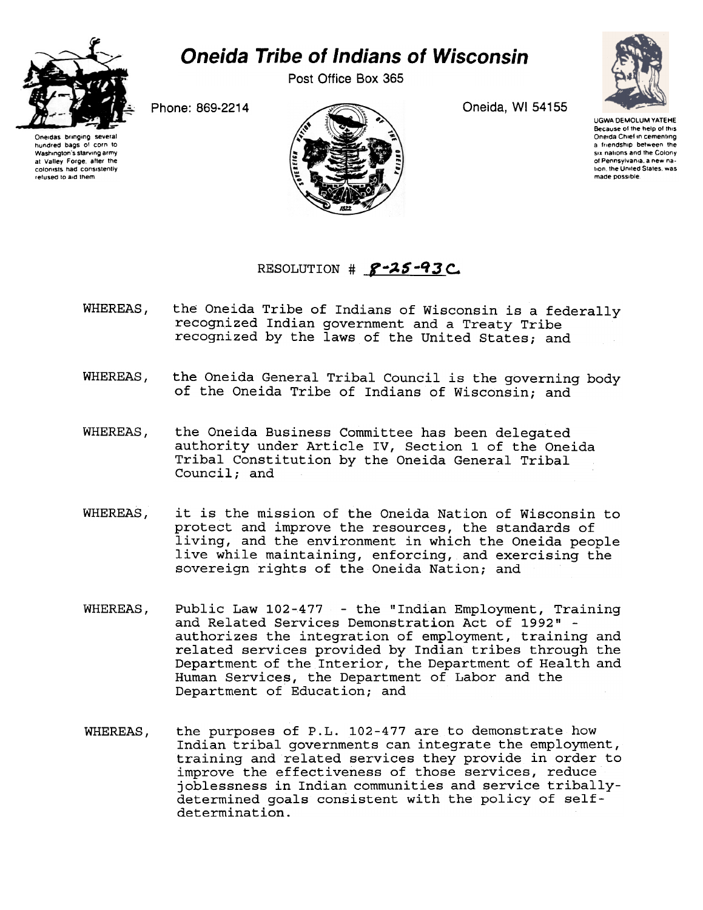

## **Oneida Tribe of Indians of Wisconsin**

Post Office Box 365

Oneida, WI 54155



**UGWA DEMOLUM YATEHE** Because of the help of this Oneida Chief in cementing a friendship between the six nations and the Colony of Pennsylvania, a new na tion, the United States, was made possible.

Phone: 869-2214

Oneidas bringing severa hundred bags of corn to Washington's starving army at Valley Forge, after the colonists had consistently refused to aid them



## RESOLUTION #  $8 - 25 - 93$  C.

- the Oneida Tribe of Indians of Wisconsin is a federally WHEREAS, recognized Indian government and a Treaty Tribe recognized by the laws of the United States; and
- the Oneida General Tribal Council is the governing body WHEREAS, of the Oneida Tribe of Indians of Wisconsin; and
- WHEREAS, the Oneida Business Committee has been delegated authority under Article IV, Section 1 of the Oneida Tribal Constitution by the Oneida General Tribal Council; and
- WHEREAS. it is the mission of the Oneida Nation of Wisconsin to protect and improve the resources, the standards of living, and the environment in which the Oneida people live while maintaining, enforcing, and exercising the sovereign rights of the Oneida Nation; and
- Public Law 102-477 the "Indian Employment, Training WHEREAS, and Related Services Demonstration Act of 1992" authorizes the integration of employment, training and related services provided by Indian tribes through the Department of the Interior, the Department of Health and Human Services, the Department of Labor and the Department of Education; and
- WHEREAS, the purposes of P.L. 102-477 are to demonstrate how Indian tribal governments can integrate the employment, training and related services they provide in order to improve the effectiveness of those services, reduce joblessness in Indian communities and service triballydetermined goals consistent with the policy of selfdetermination.